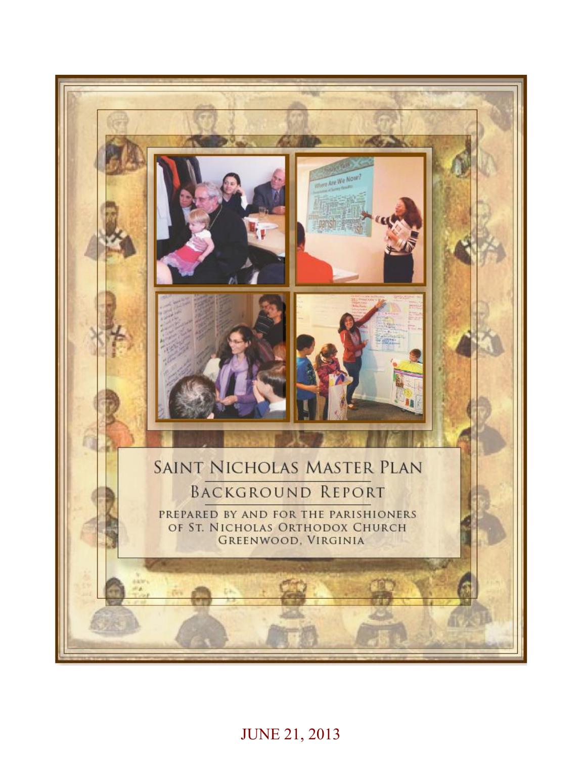

JUNE 21, 2013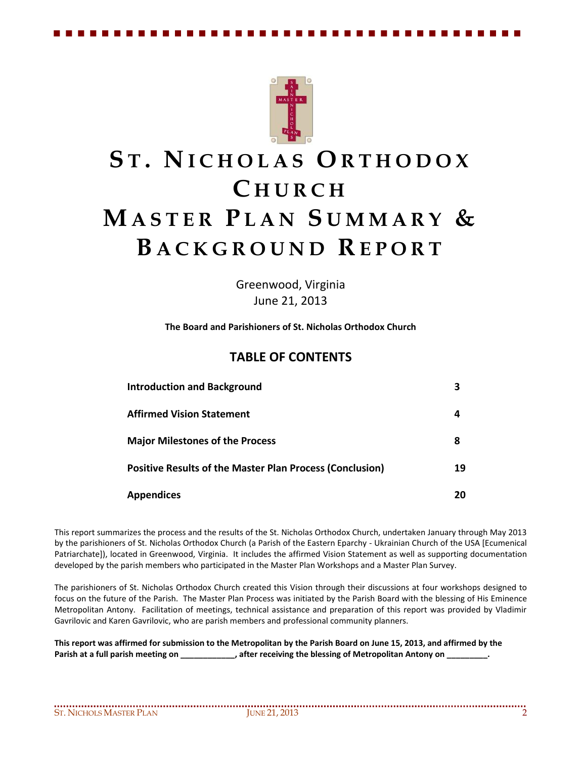

# **S T . N I C H O L A S O R T H O D O X C H U R C H MA S T E R P L A N S U M M A R Y & B A C K G R O U N D R E P O R T**

Greenwood, Virginia June 21, 2013

**The Board and Parishioners of St. Nicholas Orthodox Church**

### **TABLE OF CONTENTS**

| <b>Introduction and Background</b>                              |    |
|-----------------------------------------------------------------|----|
| <b>Affirmed Vision Statement</b>                                | 4  |
| <b>Major Milestones of the Process</b>                          | 8  |
| <b>Positive Results of the Master Plan Process (Conclusion)</b> | 19 |
| <b>Appendices</b>                                               | 20 |

This report summarizes the process and the results of the St. Nicholas Orthodox Church, undertaken January through May 2013 by the parishioners of St. Nicholas Orthodox Church (a Parish of the Eastern Eparchy - Ukrainian Church of the USA [Ecumenical Patriarchate]), located in Greenwood, Virginia. It includes the affirmed Vision Statement as well as supporting documentation developed by the parish members who participated in the Master Plan Workshops and a Master Plan Survey.

The parishioners of St. Nicholas Orthodox Church created this Vision through their discussions at four workshops designed to focus on the future of the Parish. The Master Plan Process was initiated by the Parish Board with the blessing of His Eminence Metropolitan Antony. Facilitation of meetings, technical assistance and preparation of this report was provided by Vladimir Gavrilovic and Karen Gavrilovic, who are parish members and professional community planners.

**This report was affirmed for submission to the Metropolitan by the Parish Board on June 15, 2013, and affirmed by the** Parish at a full parish meeting on **the paritic set of the set of Metropolitan Antony on**  $\overline{\phantom{a}}$ , after receiving the blessing of Metropolitan Antony on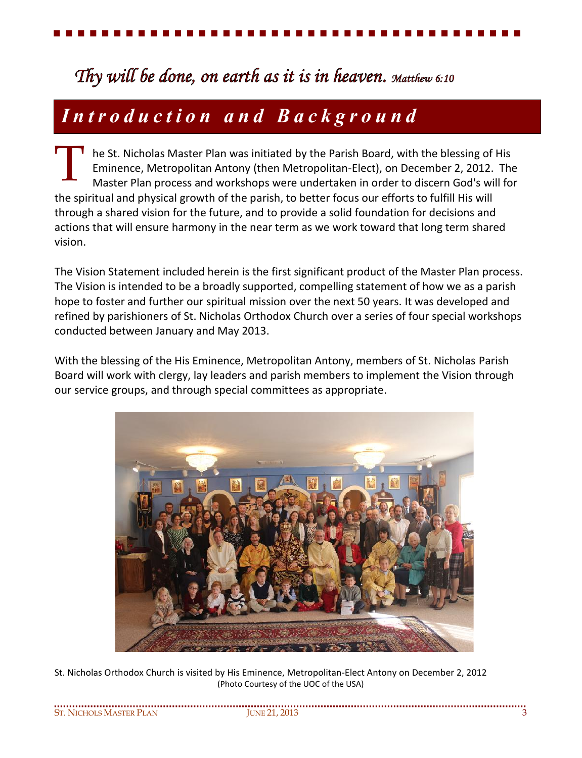# *Thy will be done, on earth as it is in heaven. Matthew 6:10*

# *I n t r o d u c t i o n a n d B a c k g r o u n d*

he St. Nicholas Master Plan was initiated by the Parish Board, with the blessing of His Eminence, Metropolitan Antony (then Metropolitan-Elect), on December 2, 2012. The Master Plan process and workshops were undertaken in order to discern God's will for the spiritual and physical growth of the parish, to better focus our efforts to fulfill His will through a shared vision for the future, and to provide a solid foundation for decisions and actions that will ensure harmony in the near term as we work toward that long term shared vision. T

The Vision Statement included herein is the first significant product of the Master Plan process. The Vision is intended to be a broadly supported, compelling statement of how we as a parish hope to foster and further our spiritual mission over the next 50 years. It was developed and refined by parishioners of St. Nicholas Orthodox Church over a series of four special workshops conducted between January and May 2013.

With the blessing of the His Eminence, Metropolitan Antony, members of St. Nicholas Parish Board will work with clergy, lay leaders and parish members to implement the Vision through our service groups, and through special committees as appropriate.



St. Nicholas Orthodox Church is visited by His Eminence, Metropolitan-Elect Antony on December 2, 2012 (Photo Courtesy of the UOC of the USA)

| St. Nichols Master Plan | 2013<br>ii inie 21 |  |
|-------------------------|--------------------|--|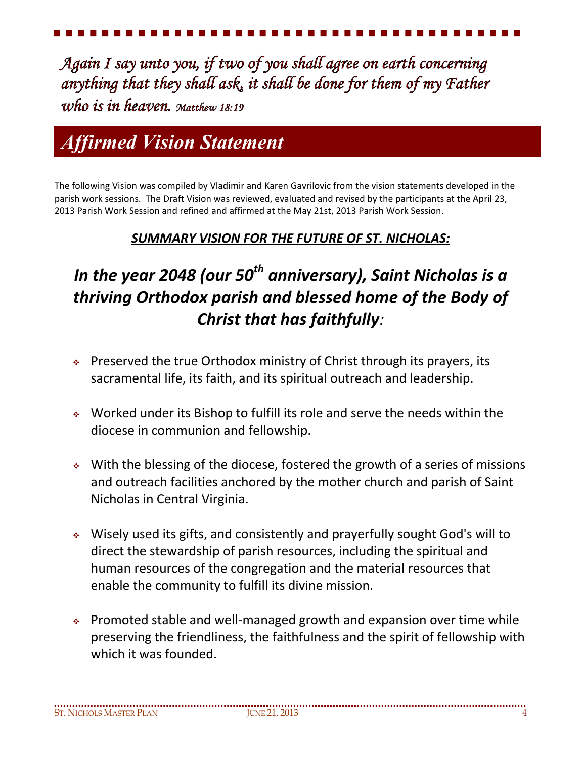*Again I say unto you, if two of you shall agree on earth concerning anything that they shall ask, it shall be done for them of my Father who is in heaven. Matthew 18:19*

# *Affirmed Vision Statement*

The following Vision was compiled by Vladimir and Karen Gavrilovic from the vision statements developed in the parish work sessions. The Draft Vision was reviewed, evaluated and revised by the participants at the April 23, 2013 Parish Work Session and refined and affirmed at the May 21st, 2013 Parish Work Session.

# *SUMMARY VISION FOR THE FUTURE OF ST. NICHOLAS:*

# *In the year 2048 (our 50th anniversary), Saint Nicholas is a thriving Orthodox parish and blessed home of the Body of Christ that has faithfully:*

- $\cdot$  Preserved the true Orthodox ministry of Christ through its prayers, its sacramental life, its faith, and its spiritual outreach and leadership.
- Worked under its Bishop to fulfill its role and serve the needs within the diocese in communion and fellowship.
- With the blessing of the diocese, fostered the growth of a series of missions and outreach facilities anchored by the mother church and parish of Saint Nicholas in Central Virginia.
- Wisely used its gifts, and consistently and prayerfully sought God's will to direct the stewardship of parish resources, including the spiritual and human resources of the congregation and the material resources that enable the community to fulfill its divine mission.
- Promoted stable and well-managed growth and expansion over time while preserving the friendliness, the faithfulness and the spirit of fellowship with which it was founded.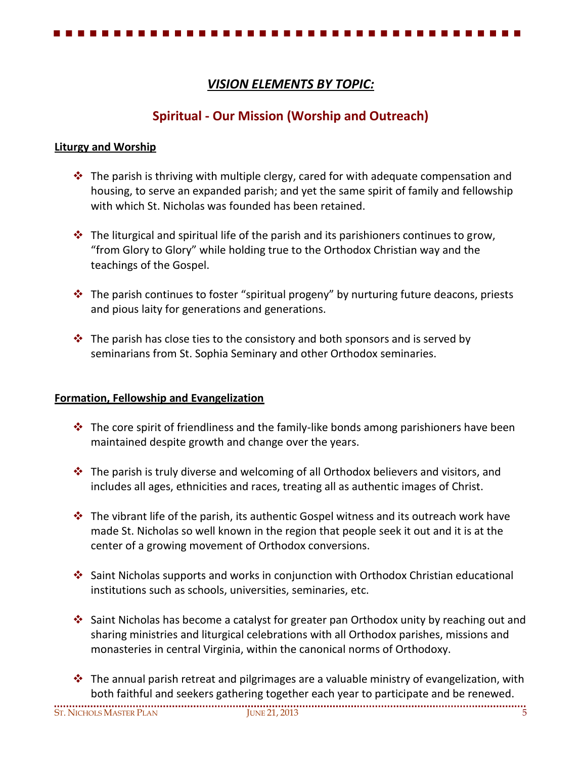## *VISION ELEMENTS BY TOPIC:*

# **Spiritual - Our Mission (Worship and Outreach)**

#### **Liturgy and Worship**

- $\cdot \cdot$  The parish is thriving with multiple clergy, cared for with adequate compensation and housing, to serve an expanded parish; and yet the same spirit of family and fellowship with which St. Nicholas was founded has been retained.
- $\div$  The liturgical and spiritual life of the parish and its parishioners continues to grow, "from Glory to Glory" while holding true to the Orthodox Christian way and the teachings of the Gospel.
- $\cdot \cdot$  The parish continues to foster "spiritual progeny" by nurturing future deacons, priests and pious laity for generations and generations.
- $\cdot \cdot$  The parish has close ties to the consistory and both sponsors and is served by seminarians from St. Sophia Seminary and other Orthodox seminaries.

#### **Formation, Fellowship and Evangelization**

- $\cdot \cdot$  The core spirit of friendliness and the family-like bonds among parishioners have been maintained despite growth and change over the years.
- $\div$  The parish is truly diverse and welcoming of all Orthodox believers and visitors, and includes all ages, ethnicities and races, treating all as authentic images of Christ.
- $\clubsuit$  The vibrant life of the parish, its authentic Gospel witness and its outreach work have made St. Nicholas so well known in the region that people seek it out and it is at the center of a growing movement of Orthodox conversions.
- Saint Nicholas supports and works in conjunction with Orthodox Christian educational institutions such as schools, universities, seminaries, etc.
- Saint Nicholas has become a catalyst for greater pan Orthodox unity by reaching out and sharing ministries and liturgical celebrations with all Orthodox parishes, missions and monasteries in central Virginia, within the canonical norms of Orthodoxy.
- $\cdot \cdot$  The annual parish retreat and pilgrimages are a valuable ministry of evangelization, with both faithful and seekers gathering together each year to participate and be renewed.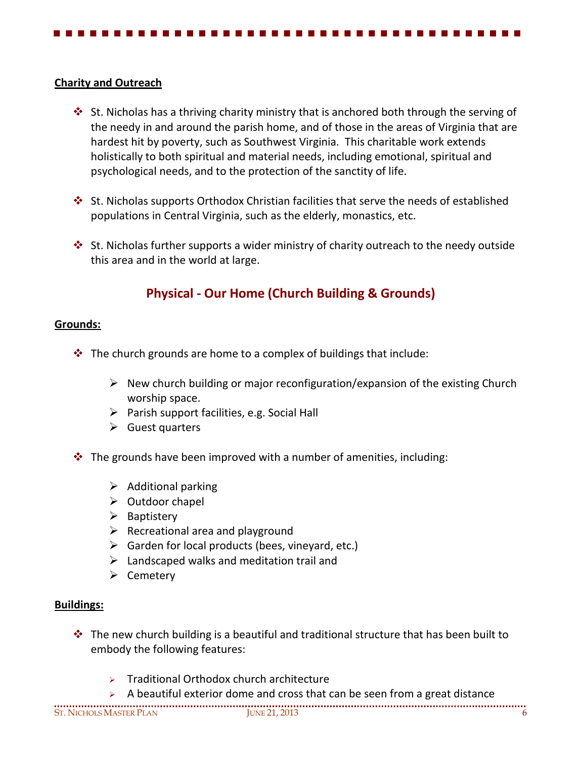### **Charity and Outreach**

- $\div$  St. Nicholas has a thriving charity ministry that is anchored both through the serving of the needy in and around the parish home, and of those in the areas of Virginia that are hardest hit by poverty, such as Southwest Virginia. This charitable work extends holistically to both spiritual and material needs, including emotional, spiritual and psychological needs, and to the protection of the sanctity of life.
- $\cdot$  St. Nicholas supports Orthodox Christian facilities that serve the needs of established populations in Central Virginia, such as the elderly, monastics, etc.
- $\cdot$  St. Nicholas further supports a wider ministry of charity outreach to the needy outside this area and in the world at large.

# **Physical - Our Home (Church Building & Grounds)**

### **Grounds:**

- $\cdot \cdot$  The church grounds are home to a complex of buildings that include:
	- $\triangleright$  New church building or major reconfiguration/expansion of the existing Church worship space.
	- $\triangleright$  Parish support facilities, e.g. Social Hall
	- $\triangleright$  Guest quarters
- $\cdot \cdot$  The grounds have been improved with a number of amenities, including:
	- $\triangleright$  Additional parking
	- $\triangleright$  Outdoor chapel
	- $\triangleright$  Baptistery
	- $\triangleright$  Recreational area and playground
	- $\triangleright$  Garden for local products (bees, vineyard, etc.)
	- $\triangleright$  Landscaped walks and meditation trail and
	- $\triangleright$  Cemetery

#### **Buildings:**

- $\cdot \cdot$  The new church building is a beautiful and traditional structure that has been built to embody the following features:
	- Traditional Orthodox church architecture
	- A beautiful exterior dome and cross that can be seen from a great distance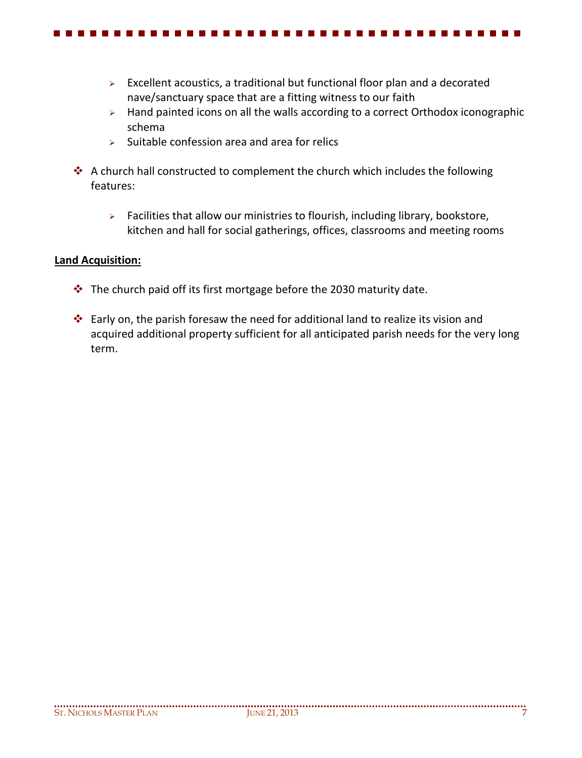- $\triangleright$  Excellent acoustics, a traditional but functional floor plan and a decorated nave/sanctuary space that are a fitting witness to our faith
- $\triangleright$  Hand painted icons on all the walls according to a correct Orthodox iconographic schema
- $\triangleright$  Suitable confession area and area for relics
- A church hall constructed to complement the church which includes the following features:
	- $\triangleright$  Facilities that allow our ministries to flourish, including library, bookstore, kitchen and hall for social gatherings, offices, classrooms and meeting rooms

#### **Land Acquisition:**

- $\cdot \cdot$  The church paid off its first mortgage before the 2030 maturity date.
- $\cdot$  Early on, the parish foresaw the need for additional land to realize its vision and acquired additional property sufficient for all anticipated parish needs for the very long term.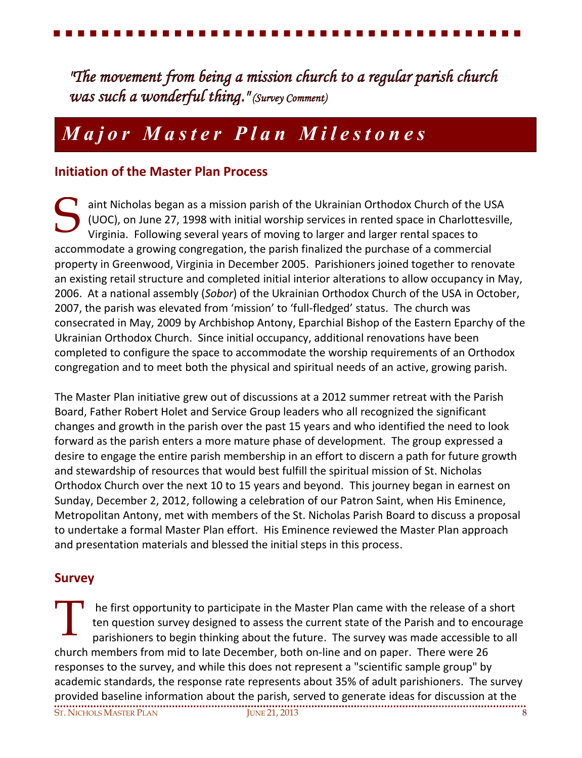*"The movement from being a mission church to a regular parish church was such a wonderful thing." (Survey Comment)*

# *M a j o r M a s t e r P l a n M i l e s t o n e s*

## **Initiation of the Master Plan Process**

aint Nicholas began as a mission parish of the Ukrainian Orthodox Church of the USA (UOC), on June 27, 1998 with initial worship services in rented space in Charlottesville, Virginia. Following several years of moving to larger and larger rental spaces to accommodate a growing congregation, the parish finalized the purchase of a commercial property in Greenwood, Virginia in December 2005. Parishioners joined together to renovate an existing retail structure and completed initial interior alterations to allow occupancy in May, 2006. At a national assembly (*Sobor*) of the Ukrainian Orthodox Church of the USA in October, 2007, the parish was elevated from 'mission' to 'full-fledged' status. The church was consecrated in May, 2009 by Archbishop Antony, Eparchial Bishop of the Eastern Eparchy of the Ukrainian Orthodox Church. Since initial occupancy, additional renovations have been completed to configure the space to accommodate the worship requirements of an Orthodox congregation and to meet both the physical and spiritual needs of an active, growing parish. S

The Master Plan initiative grew out of discussions at a 2012 summer retreat with the Parish Board, Father Robert Holet and Service Group leaders who all recognized the significant changes and growth in the parish over the past 15 years and who identified the need to look forward as the parish enters a more mature phase of development. The group expressed a desire to engage the entire parish membership in an effort to discern a path for future growth and stewardship of resources that would best fulfill the spiritual mission of St. Nicholas Orthodox Church over the next 10 to 15 years and beyond. This journey began in earnest on Sunday, December 2, 2012, following a celebration of our Patron Saint, when His Eminence, Metropolitan Antony, met with members of the St. Nicholas Parish Board to discuss a proposal to undertake a formal Master Plan effort. His Eminence reviewed the Master Plan approach and presentation materials and blessed the initial steps in this process.

### **Survey**

ST. NICHOLS MASTER PLAN JUNE 21, 2013 8 he first opportunity to participate in the Master Plan came with the release of a short ten question survey designed to assess the current state of the Parish and to encourage parishioners to begin thinking about the future. The survey was made accessible to all church members from mid to late December, both on-line and on paper. There were 26 responses to the survey, and while this does not represent a "scientific sample group" by academic standards, the response rate represents about 35% of adult parishioners. The survey provided baseline information about the parish, served to generate ideas for discussion at the T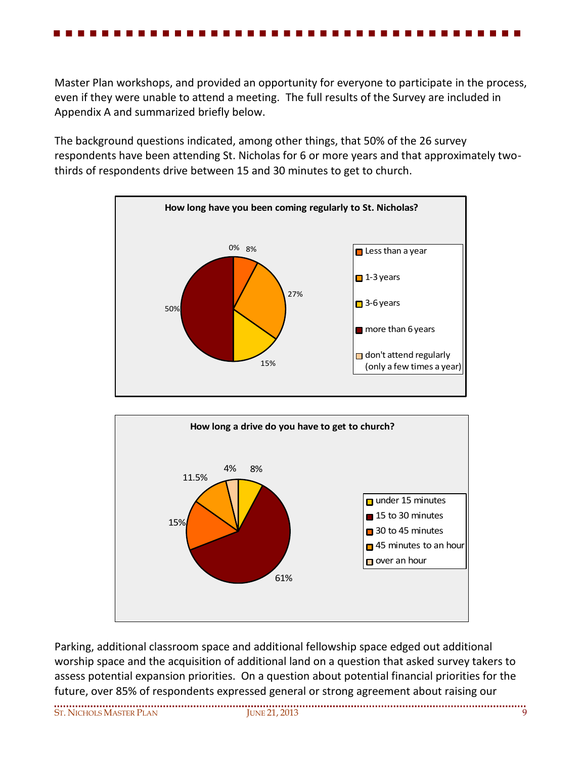Master Plan workshops, and provided an opportunity for everyone to participate in the process, even if they were unable to attend a meeting. The full results of the Survey are included in Appendix A and summarized briefly below.

The background questions indicated, among other things, that 50% of the 26 survey respondents have been attending St. Nicholas for 6 or more years and that approximately twothirds of respondents drive between 15 and 30 minutes to get to church.





Parking, additional classroom space and additional fellowship space edged out additional worship space and the acquisition of additional land on a question that asked survey takers to assess potential expansion priorities. On a question about potential financial priorities for the future, over 85% of respondents expressed general or strong agreement about raising our

ST. NICHOLS MASTER PLAN JUNE 21, 2013 9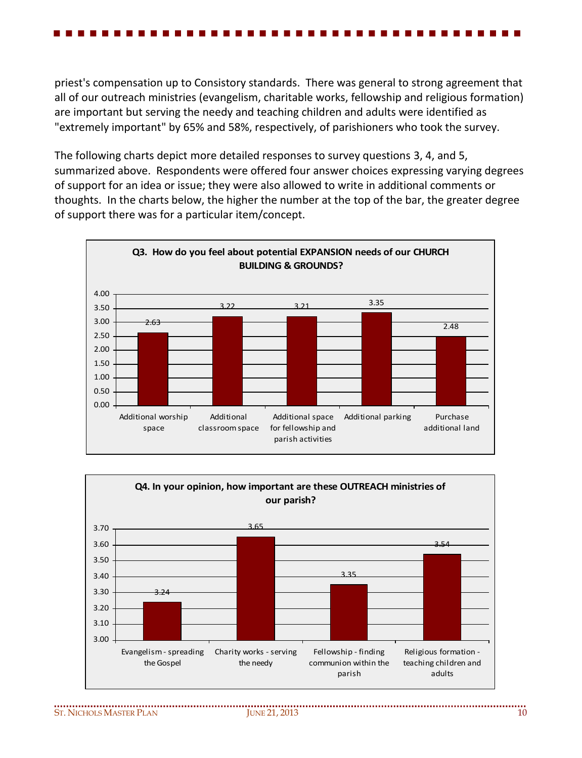priest's compensation up to Consistory standards. There was general to strong agreement that all of our outreach ministries (evangelism, charitable works, fellowship and religious formation) are important but serving the needy and teaching children and adults were identified as "extremely important" by 65% and 58%, respectively, of parishioners who took the survey.

The following charts depict more detailed responses to survey questions 3, 4, and 5, summarized above. Respondents were offered four answer choices expressing varying degrees of support for an idea or issue; they were also allowed to write in additional comments or thoughts. In the charts below, the higher the number at the top of the bar, the greater degree of support there was for a particular item/concept.



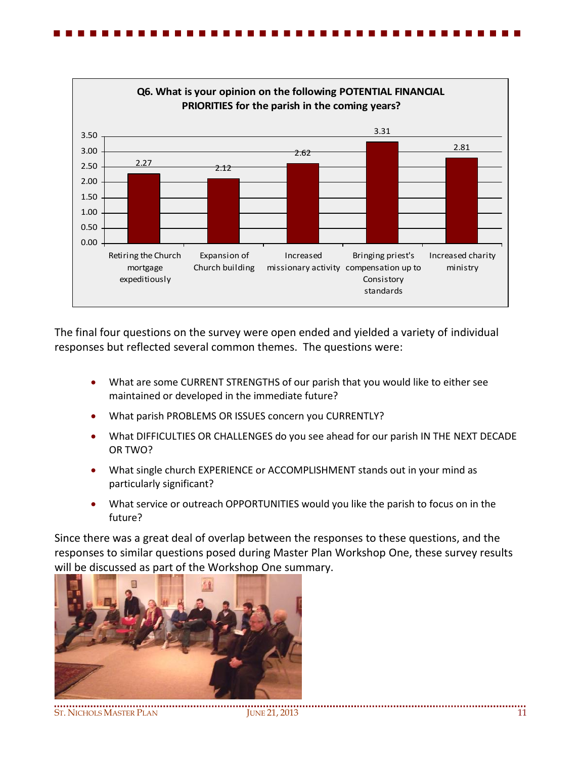

The final four questions on the survey were open ended and yielded a variety of individual responses but reflected several common themes. The questions were:

- What are some CURRENT STRENGTHS of our parish that you would like to either see maintained or developed in the immediate future?
- What parish PROBLEMS OR ISSUES concern you CURRENTLY?
- What DIFFICULTIES OR CHALLENGES do you see ahead for our parish IN THE NEXT DECADE OR TWO?
- What single church EXPERIENCE or ACCOMPLISHMENT stands out in your mind as particularly significant?
- What service or outreach OPPORTUNITIES would you like the parish to focus on in the future?

Since there was a great deal of overlap between the responses to these questions, and the responses to similar questions posed during Master Plan Workshop One, these survey results will be discussed as part of the Workshop One summary.

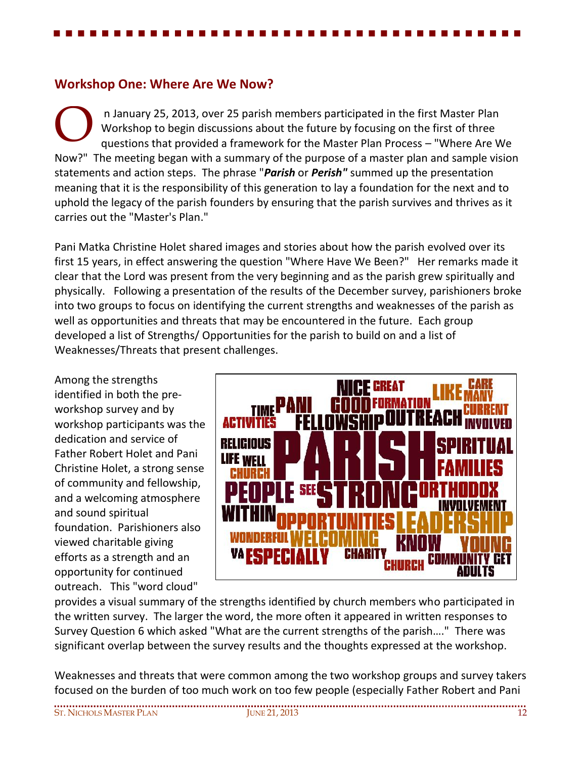## **Workshop One: Where Are We Now?**

n January 25, 2013, over 25 parish members participated in the first Master Plan Workshop to begin discussions about the future by focusing on the first of three questions that provided a framework for the Master Plan Process – "Where Are We Now?" The meeting began with a summary of the purpose of a master plan and sample vision statements and action steps. The phrase "*Parish* or *Perish"* summed up the presentation meaning that it is the responsibility of this generation to lay a foundation for the next and to uphold the legacy of the parish founders by ensuring that the parish survives and thrives as it carries out the "Master's Plan." O

Pani Matka Christine Holet shared images and stories about how the parish evolved over its first 15 years, in effect answering the question "Where Have We Been?" Her remarks made it clear that the Lord was present from the very beginning and as the parish grew spiritually and physically. Following a presentation of the results of the December survey, parishioners broke into two groups to focus on identifying the current strengths and weaknesses of the parish as well as opportunities and threats that may be encountered in the future. Each group developed a list of Strengths/ Opportunities for the parish to build on and a list of Weaknesses/Threats that present challenges.

Among the strengths identified in both the preworkshop survey and by workshop participants was the dedication and service of Father Robert Holet and Pani Christine Holet, a strong sense of community and fellowship, and a welcoming atmosphere and sound spiritual foundation. Parishioners also viewed charitable giving efforts as a strength and an opportunity for continued outreach. This "word cloud"



provides a visual summary of the strengths identified by church members who participated in the written survey. The larger the word, the more often it appeared in written responses to Survey Question 6 which asked "What are the current strengths of the parish…." There was significant overlap between the survey results and the thoughts expressed at the workshop.

Weaknesses and threats that were common among the two workshop groups and survey takers focused on the burden of too much work on too few people (especially Father Robert and Pani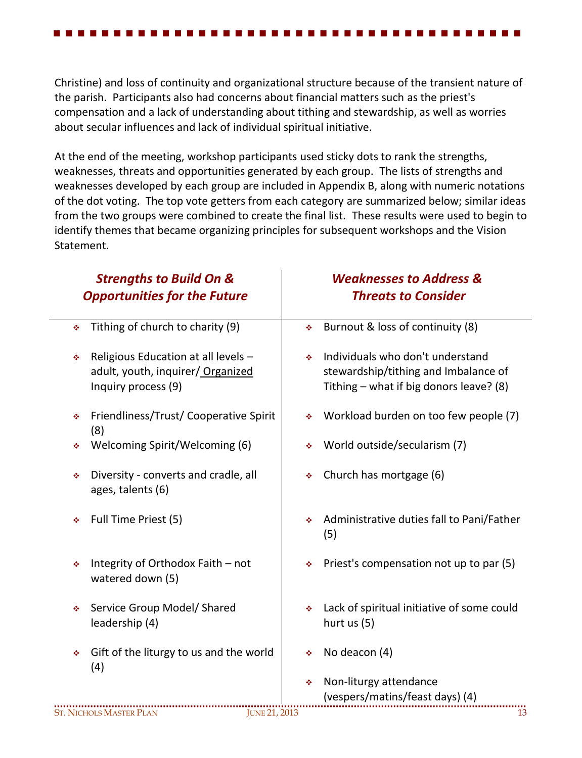Christine) and loss of continuity and organizational structure because of the transient nature of the parish. Participants also had concerns about financial matters such as the priest's compensation and a lack of understanding about tithing and stewardship, as well as worries about secular influences and lack of individual spiritual initiative.

At the end of the meeting, workshop participants used sticky dots to rank the strengths, weaknesses, threats and opportunities generated by each group. The lists of strengths and weaknesses developed by each group are included in Appendix B, along with numeric notations of the dot voting. The top vote getters from each category are summarized below; similar ideas from the two groups were combined to create the final list. These results were used to begin to identify themes that became organizing principles for subsequent workshops and the Vision Statement.

| <b>Strengths to Build On &amp;</b><br><b>Opportunities for the Future</b>                            | <b>Weaknesses to Address &amp;</b><br><b>Threats to Consider</b>                                                         |  |  |
|------------------------------------------------------------------------------------------------------|--------------------------------------------------------------------------------------------------------------------------|--|--|
| Tithing of church to charity (9)<br>٠                                                                | Burnout & loss of continuity (8)<br>÷.                                                                                   |  |  |
| Religious Education at all levels -<br>٠<br>adult, youth, inquirer/ Organized<br>Inquiry process (9) | Individuals who don't understand<br>٠<br>stewardship/tithing and Imbalance of<br>Tithing - what if big donors leave? (8) |  |  |
| Friendliness/Trust/ Cooperative Spirit<br>٠<br>(8)                                                   | Workload burden on too few people (7)<br>٠                                                                               |  |  |
| Welcoming Spirit/Welcoming (6)<br>٠                                                                  | World outside/secularism (7)<br>٠                                                                                        |  |  |
| Diversity - converts and cradle, all<br>٠<br>ages, talents (6)                                       | Church has mortgage (6)<br>٠                                                                                             |  |  |
| Full Time Priest (5)<br>٠                                                                            | Administrative duties fall to Pani/Father<br>٠<br>(5)                                                                    |  |  |
| Integrity of Orthodox Faith - not<br>٠<br>watered down (5)                                           | Priest's compensation not up to par (5)<br>٠                                                                             |  |  |
| Service Group Model/ Shared<br>٠<br>leadership (4)                                                   | Lack of spiritual initiative of some could<br>٠<br>hurt us $(5)$                                                         |  |  |
| Gift of the liturgy to us and the world<br>٠<br>(4)                                                  | No deacon (4)<br>٠                                                                                                       |  |  |
|                                                                                                      | Non-liturgy attendance<br>٠<br>(vespers/matins/feast days) (4)                                                           |  |  |
| <b>ST. NICHOLS MASTER PLAN</b><br><b>JUNE 21, 2013</b>                                               | 13                                                                                                                       |  |  |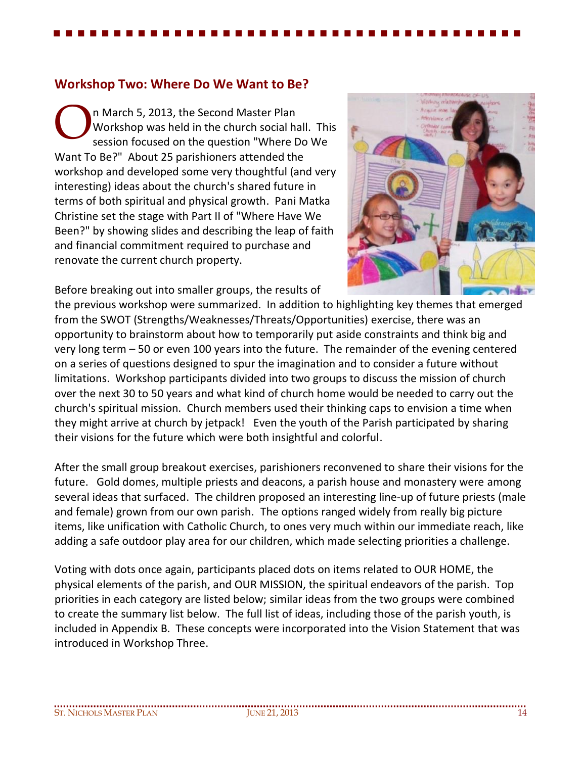### **Workshop Two: Where Do We Want to Be?**

n March 5, 2013, the Second Master Plan Workshop was held in the church social hall. This session focused on the question "Where Do We Want To Be?" About 25 parishioners attended the workshop and developed some very thoughtful (and very interesting) ideas about the church's shared future in terms of both spiritual and physical growth. Pani Matka Christine set the stage with Part II of "Where Have We Been?" by showing slides and describing the leap of faith and financial commitment required to purchase and renovate the current church property. O

Before breaking out into smaller groups, the results of



the previous workshop were summarized. In addition to highlighting key themes that emerged from the SWOT (Strengths/Weaknesses/Threats/Opportunities) exercise, there was an opportunity to brainstorm about how to temporarily put aside constraints and think big and very long term – 50 or even 100 years into the future. The remainder of the evening centered on a series of questions designed to spur the imagination and to consider a future without limitations. Workshop participants divided into two groups to discuss the mission of church over the next 30 to 50 years and what kind of church home would be needed to carry out the church's spiritual mission. Church members used their thinking caps to envision a time when they might arrive at church by jetpack! Even the youth of the Parish participated by sharing their visions for the future which were both insightful and colorful.

After the small group breakout exercises, parishioners reconvened to share their visions for the future. Gold domes, multiple priests and deacons, a parish house and monastery were among several ideas that surfaced. The children proposed an interesting line-up of future priests (male and female) grown from our own parish. The options ranged widely from really big picture items, like unification with Catholic Church, to ones very much within our immediate reach, like adding a safe outdoor play area for our children, which made selecting priorities a challenge.

Voting with dots once again, participants placed dots on items related to OUR HOME, the physical elements of the parish, and OUR MISSION, the spiritual endeavors of the parish. Top priorities in each category are listed below; similar ideas from the two groups were combined to create the summary list below. The full list of ideas, including those of the parish youth, is included in Appendix B. These concepts were incorporated into the Vision Statement that was introduced in Workshop Three.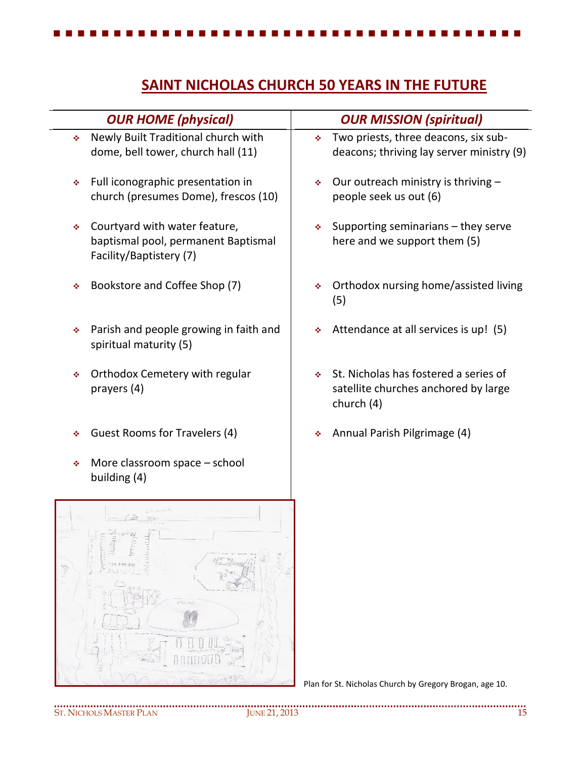# **SAINT NICHOLAS CHURCH 50 YEARS IN THE FUTURE**

| <b>OUR HOME (physical)</b>                                                                           | <b>OUR MISSION (spiritual)</b>                                                                    |
|------------------------------------------------------------------------------------------------------|---------------------------------------------------------------------------------------------------|
| Newly Built Traditional church with<br>÷<br>dome, bell tower, church hall (11)                       | Two priests, three deacons, six sub-<br>deacons; thriving lay server ministry (9)                 |
| Full iconographic presentation in<br>٠<br>church (presumes Dome), frescos (10)                       | Our outreach ministry is thriving -<br>※<br>people seek us out (6)                                |
| Courtyard with water feature,<br>٠<br>baptismal pool, permanent Baptismal<br>Facility/Baptistery (7) | Supporting seminarians - they serve<br>÷<br>here and we support them (5)                          |
| Bookstore and Coffee Shop (7)<br>٠                                                                   | Orthodox nursing home/assisted living<br>٠<br>(5)                                                 |
| Parish and people growing in faith and<br>٠<br>spiritual maturity (5)                                | Attendance at all services is up! (5)                                                             |
| Orthodox Cemetery with regular<br>٠<br>prayers (4)                                                   | St. Nicholas has fostered a series of<br>÷.<br>satellite churches anchored by large<br>church (4) |
| Guest Rooms for Travelers (4)<br>٠                                                                   | Annual Parish Pilgrimage (4)<br>٠                                                                 |
| More classroom space - school<br>٠<br>building (4)                                                   |                                                                                                   |
| $(57/1 + 1)$<br>11111<br>Perve                                                                       |                                                                                                   |

Plan for St. Nicholas Church by Gregory Brogan, age 10.

**ADYPART**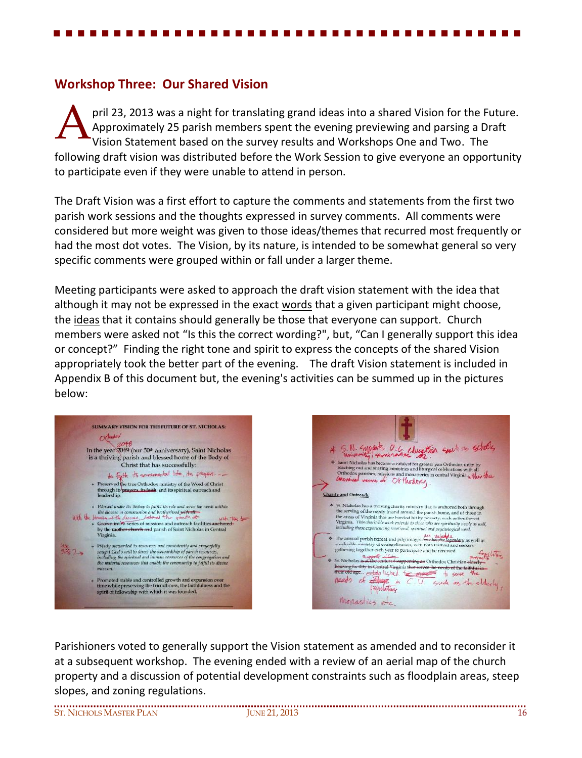### **Workshop Three: Our Shared Vision**

pril 23, 2013 was a night for translating grand ideas into a shared Vision for the Future. Approximately 25 parish members spent the evening previewing and parsing a Draft Vision Statement based on the survey results and Workshops One and Two. The following draft vision was distributed before the Work Session to give everyone an opportunity to participate even if they were unable to attend in person. A

The Draft Vision was a first effort to capture the comments and statements from the first two parish work sessions and the thoughts expressed in survey comments. All comments were considered but more weight was given to those ideas/themes that recurred most frequently or had the most dot votes. The Vision, by its nature, is intended to be somewhat general so very specific comments were grouped within or fall under a larger theme.

Meeting participants were asked to approach the draft vision statement with the idea that although it may not be expressed in the exact words that a given participant might choose, the ideas that it contains should generally be those that everyone can support. Church members were asked not "Is this the correct wording?", but, "Can I generally support this idea or concept?" Finding the right tone and spirit to express the concepts of the shared Vision appropriately took the better part of the evening. The draft Vision statement is included in Appendix B of this document but, the evening's activities can be summed up in the pictures below:

|                       | SUMMARY VISION FOR THE FUTURE OF ST. NICHOLAS:                                                                                                                                                                                                                                                                                                                |
|-----------------------|---------------------------------------------------------------------------------------------------------------------------------------------------------------------------------------------------------------------------------------------------------------------------------------------------------------------------------------------------------------|
|                       |                                                                                                                                                                                                                                                                                                                                                               |
|                       | Orlhodox<br>In the year 2049 (our 50 <sup>th</sup> anniversary), Saint Nicholas<br>is a thriving parish and blessed home of the Body of<br>Christ that has successfully:                                                                                                                                                                                      |
|                       | the Factor its secondarial life, the prayers                                                                                                                                                                                                                                                                                                                  |
|                       | * Preserved the true Orthodox ministry of the Word of Christ<br>through its prayers, its faith, and its spiritual outreach and<br>leadership.                                                                                                                                                                                                                 |
|                       | » Worked under its Bishop to fulfil! its role and serve the needs within<br>the diocese in communion and brotherhood with all.<br>With the bensive of the discuss, instance the grantin of<br>with the to<br>· Grown into a series of missions and outreach facilities anchored-<br>by the mother church and parish of Saint Nicholas in Central<br>Virginia. |
| $\frac{2x}{3175}$ 7 > | Wisely stewarded its resources and consistently and prayerfully<br>smight God's will to direct the stroomdship of parish resources,<br>including the spiritual and human resources of the congregation and<br>the material resources that enable the community to fulfill its divine<br>mission.                                                              |
|                       | Promoted stable and controlled growth and expansion over<br>time while preserving the friendliness, the faithfulness and the<br>spirit of fellowship with which it was founded.                                                                                                                                                                               |



Parishioners voted to generally support the Vision statement as amended and to reconsider it at a subsequent workshop. The evening ended with a review of an aerial map of the church property and a discussion of potential development constraints such as floodplain areas, steep slopes, and zoning regulations.

ST. NICHOLS MASTER PLAN JUNE 21, 2013 16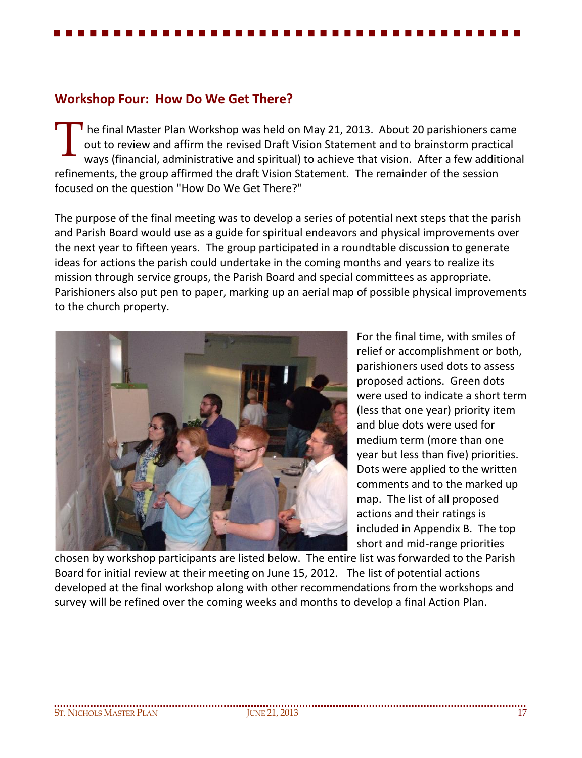### **Workshop Four: How Do We Get There?**

 he final Master Plan Workshop was held on May 21, 2013. About 20 parishioners came out to review and affirm the revised Draft Vision Statement and to brainstorm practical ways (financial, administrative and spiritual) to achieve that vision. After a few additional refinements, the group affirmed the draft Vision Statement. The remainder of the session focused on the question "How Do We Get There?" T

The purpose of the final meeting was to develop a series of potential next steps that the parish and Parish Board would use as a guide for spiritual endeavors and physical improvements over the next year to fifteen years. The group participated in a roundtable discussion to generate ideas for actions the parish could undertake in the coming months and years to realize its mission through service groups, the Parish Board and special committees as appropriate. Parishioners also put pen to paper, marking up an aerial map of possible physical improvements to the church property.



For the final time, with smiles of relief or accomplishment or both, parishioners used dots to assess proposed actions. Green dots were used to indicate a short term (less that one year) priority item and blue dots were used for medium term (more than one year but less than five) priorities. Dots were applied to the written comments and to the marked up map. The list of all proposed actions and their ratings is included in Appendix B. The top short and mid-range priorities

chosen by workshop participants are listed below. The entire list was forwarded to the Parish Board for initial review at their meeting on June 15, 2012. The list of potential actions developed at the final workshop along with other recommendations from the workshops and survey will be refined over the coming weeks and months to develop a final Action Plan.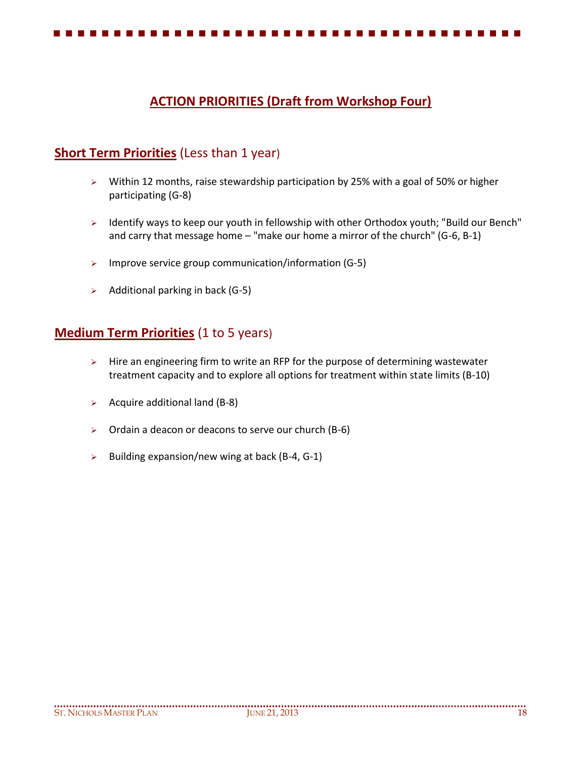# **ACTION PRIORITIES (Draft from Workshop Four)**

## **Short Term Priorities** (Less than 1 year)

- $\triangleright$  Within 12 months, raise stewardship participation by 25% with a goal of 50% or higher participating (G-8)
- > Identify ways to keep our youth in fellowship with other Orthodox youth; "Build our Bench" and carry that message home – "make our home a mirror of the church" (G-6, B-1)
- $\triangleright$  Improve service group communication/information (G-5)
- $\triangleright$  Additional parking in back (G-5)

### **Medium Term Priorities** (1 to 5 years)

- $\triangleright$  Hire an engineering firm to write an RFP for the purpose of determining wastewater treatment capacity and to explore all options for treatment within state limits (B-10)
- $\triangleright$  Acquire additional land (B-8)
- $\triangleright$  Ordain a deacon or deacons to serve our church (B-6)
- $\triangleright$  Building expansion/new wing at back (B-4, G-1)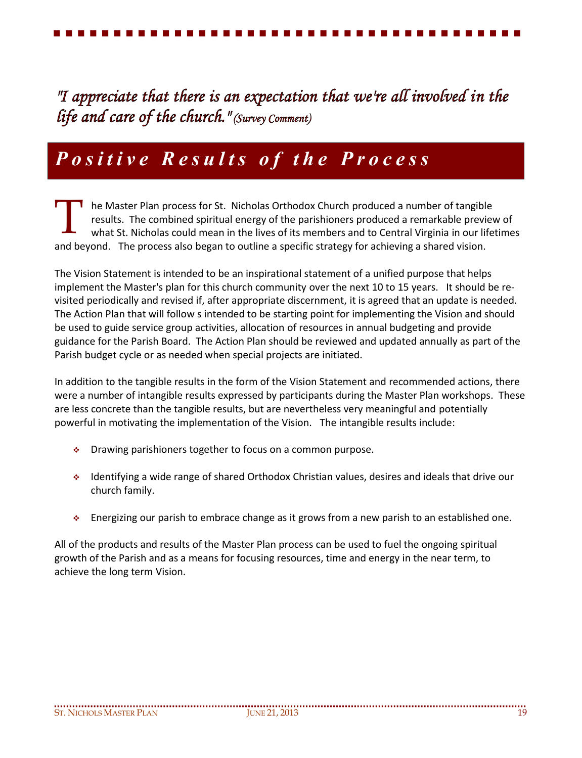*"I appreciate that there is an expectation that we're all involved in the life and care of the church." (Survey Comment)*

# *P o s i t i v e R e s u l t s o f t h e P r o c e s s*

he Master Plan process for St. Nicholas Orthodox Church produced a number of tangible results. The combined spiritual energy of the parishioners produced a remarkable preview of what St. Nicholas could mean in the lives of its members and to Central Virginia in our lifetimes and beyond. The process also began to outline a specific strategy for achieving a shared vision. T

The Vision Statement is intended to be an inspirational statement of a unified purpose that helps implement the Master's plan for this church community over the next 10 to 15 years. It should be revisited periodically and revised if, after appropriate discernment, it is agreed that an update is needed. The Action Plan that will follow s intended to be starting point for implementing the Vision and should be used to guide service group activities, allocation of resources in annual budgeting and provide guidance for the Parish Board. The Action Plan should be reviewed and updated annually as part of the Parish budget cycle or as needed when special projects are initiated.

In addition to the tangible results in the form of the Vision Statement and recommended actions, there were a number of intangible results expressed by participants during the Master Plan workshops. These are less concrete than the tangible results, but are nevertheless very meaningful and potentially powerful in motivating the implementation of the Vision. The intangible results include:

- Drawing parishioners together to focus on a common purpose.
- Identifying a wide range of shared Orthodox Christian values, desires and ideals that drive our church family.
- Energizing our parish to embrace change as it grows from a new parish to an established one.

All of the products and results of the Master Plan process can be used to fuel the ongoing spiritual growth of the Parish and as a means for focusing resources, time and energy in the near term, to achieve the long term Vision.